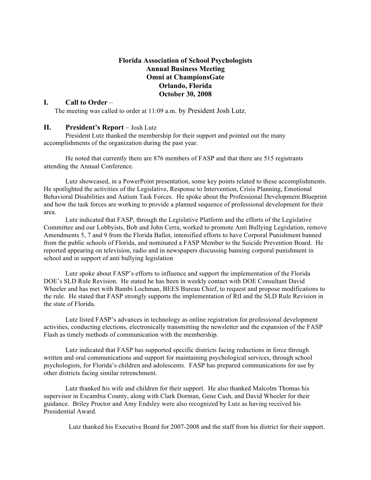# **Florida Association of School Psychologists Annual Business Meeting Omni at ChampionsGate Orlando, Florida October 30, 2008**

#### **I. Call to Order** –

The meeting was called to order at 11:09 a.m. by President Josh Lutz.

### **II. President's Report** – Josh Lutz

President Lutz thanked the membership for their support and pointed out the many accomplishments of the organization during the past year.

He noted that currently there are 876 members of FASP and that there are 515 registrants attending the Annual Conference.

Lutz showcased, in a PowerPoint presentation, some key points related to these accomplishments. He spotlighted the activities of the Legislative, Response to Intervention, Crisis Planning, Emotional Behavioral Disabilities and Autism Task Forces. He spoke about the Professional Development Blueprint and how the task forces are working to provide a planned sequence of professional development for their area.

Lutz indicated that FASP, through the Legislative Platform and the efforts of the Legislative Committee and our Lobbyists, Bob and John Cerra, worked to promote Anti Bullying Legislation, remove Amendments 5, 7 and 9 from the Florida Ballot, intensified efforts to have Corporal Punishment banned from the public schools of Florida, and nominated a FASP Member to the Suicide Prevention Board. He reported appearing on television, radio and in newspapers discussing banning corporal punishment in school and in support of anti bullying legislation

Lutz spoke about FASP's efforts to influence and support the implementation of the Florida DOE's SLD Rule Revision. He stated he has been in weekly contact with DOE Consultant David Wheeler and has met with Bambi Lochman, BEES Bureau Chief, to request and propose modifications to the rule. He stated that FASP strongly supports the implementation of RtI and the SLD Rule Revision in the state of Florida.

Lutz listed FASP's advances in technology as online registration for professional development activities, conducting elections, electronically transmitting the newsletter and the expansion of the FASP Flash as timely methods of communication with the membership.

Lutz indicated that FASP has supported specific districts facing reductions in force through written and oral communications and support for maintaining psychological services, through school psychologists, for Florida's children and adolescents. FASP has prepared communications for use by other districts facing similar retrenchment.

Lutz thanked his wife and children for their support. He also thanked Malcolm Thomas his supervisor in Escambia County, along with Clark Dorman, Gene Cash, and David Wheeler for their guidance. Briley Proctor and Amy Endsley were also recognized by Lutz as having received his Presidential Award.

Lutz thanked his Executive Board for 2007-2008 and the staff from his district for their support.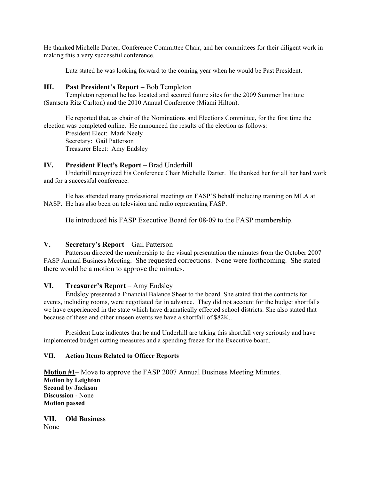He thanked Michelle Darter, Conference Committee Chair, and her committees for their diligent work in making this a very successful conference.

Lutz stated he was looking forward to the coming year when he would be Past President.

# **III. Past President's Report** – Bob Templeton

Templeton reported he has located and secured future sites for the 2009 Summer Institute (Sarasota Ritz Carlton) and the 2010 Annual Conference (Miami Hilton).

He reported that, as chair of the Nominations and Elections Committee, for the first time the election was completed online. He announced the results of the election as follows:

President Elect: Mark Neely Secretary: Gail Patterson Treasurer Elect: Amy Endsley

#### **IV. President Elect's Report** – Brad Underhill

Underhill recognized his Conference Chair Michelle Darter. He thanked her for all her hard work and for a successful conference.

He has attended many professional meetings on FASP'S behalf including training on MLA at NASP. He has also been on television and radio representing FASP.

He introduced his FASP Executive Board for 08-09 to the FASP membership.

# **V. Secretary's Report** – Gail Patterson

Patterson directed the membership to the visual presentation the minutes from the October 2007 FASP Annual Business Meeting. She requested corrections. None were forthcoming. She stated there would be a motion to approve the minutes.

# **VI. Treasurer's Report** – Amy Endsley

Endsley presented a Financial Balance Sheet to the board. She stated that the contracts for events, including rooms, were negotiated far in advance. They did not account for the budget shortfalls we have experienced in the state which have dramatically effected school districts. She also stated that because of these and other unseen events we have a shortfall of \$82K..

President Lutz indicates that he and Underhill are taking this shortfall very seriously and have implemented budget cutting measures and a spending freeze for the Executive board.

#### **VII. Action Items Related to Officer Reports**

**Motion #1**– Move to approve the FASP 2007 Annual Business Meeting Minutes. **Motion by Leighton Second by Jackson Discussion** - None **Motion passed**

**VII. Old Business** None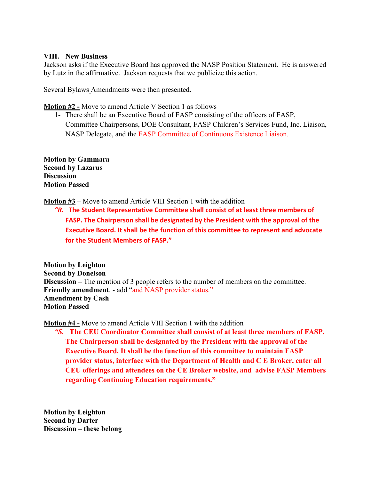# **VIII. New Business**

Jackson asks if the Executive Board has approved the NASP Position Statement. He is answered by Lutz in the affirmative. Jackson requests that we publicize this action.

Several Bylaws Amendments were then presented.

**Motion #2 -** Move to amend Article V Section 1 as follows

1- There shall be an Executive Board of FASP consisting of the officers of FASP, Committee Chairpersons, DOE Consultant, FASP Children's Services Fund, Inc. Liaison, NASP Delegate, and the FASP Committee of Continuous Existence Liaison.

**Motion by Gammara Second by Lazarus Discussion Motion Passed**

**Motion #3 –** Move to amend Article VIII Section 1 with the addition

**"R.** The Student Representative Committee shall consist of at least three members of FASP. The Chairperson shall be designated by the President with the approval of the **Executive Board. It shall be the function of this committee to represent and advocate for the Student Members of FASP."** 

**Motion by Leighton Second by Donelson Discussion –** The mention of 3 people refers to the number of members on the committee. **Friendly amendment**. - add "and NASP provider status." **Amendment by Cash Motion Passed**

**Motion #4 -** Move to amend Article VIII Section 1 with the addition

*"S.* **The CEU Coordinator Committee shall consist of at least three members of FASP. The Chairperson shall be designated by the President with the approval of the Executive Board. It shall be the function of this committee to maintain FASP provider status, interface with the Department of Health and C E Broker, enter all CEU offerings and attendees on the CE Broker website, and advise FASP Members regarding Continuing Education requirements."**

**Motion by Leighton Second by Darter Discussion – these belong**